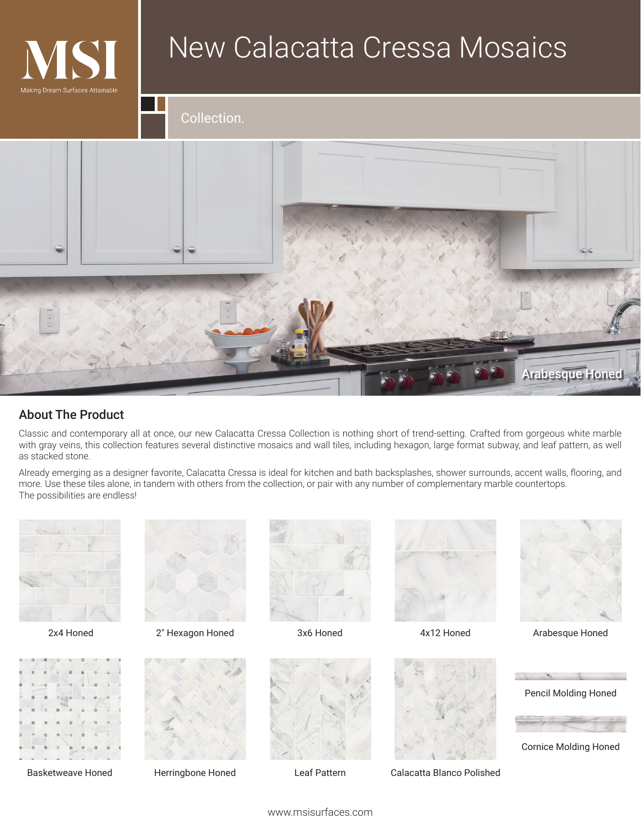

## New Calacatta Cressa Mosaics

Collection.



## About The Product

Classic and contemporary all at once, our new Calacatta Cressa Collection is nothing short of trend-setting. Crafted from gorgeous white marble with gray veins, this collection features several distinctive mosaics and wall tiles, including hexagon, large format subway, and leaf pattern, as well as stacked stone.

Already emerging as a designer favorite, Calacatta Cressa is ideal for kitchen and bath backsplashes, shower surrounds, accent walls, flooring, and more. Use these tiles alone, in tandem with others from the collection, or pair with any number of complementary marble countertops. The possibilities are endless!





Basketweave Honed



2x4 Honed 2" Hexagon Honed 3x6 Honed 3x6 Honed 4x12 Honed Arabesque Honed



Herringbone Honed



3x6 Honed





4x12 Honed



Leaf Pattern Calacatta Blanco Polished





Cornice Molding Honed